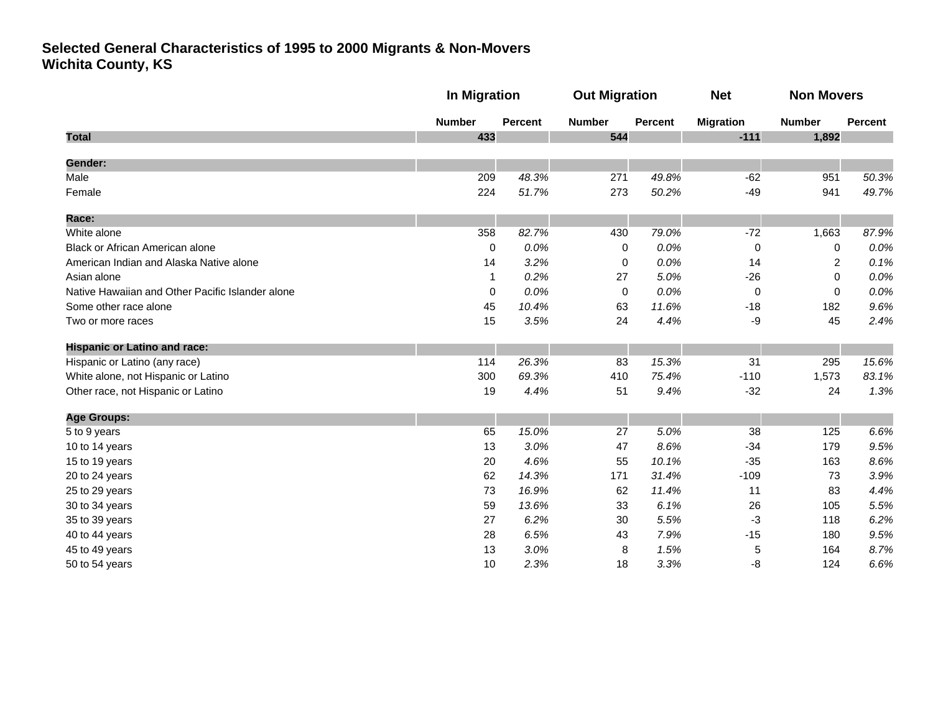|                                                  |               | <b>In Migration</b> |               | <b>Out Migration</b> |                  | <b>Non Movers</b> |         |
|--------------------------------------------------|---------------|---------------------|---------------|----------------------|------------------|-------------------|---------|
|                                                  | <b>Number</b> | Percent             | <b>Number</b> | <b>Percent</b>       | <b>Migration</b> | <b>Number</b>     | Percent |
| <b>Total</b>                                     | 433           |                     | 544           |                      | $-111$           | 1,892             |         |
| Gender:                                          |               |                     |               |                      |                  |                   |         |
| Male                                             | 209           | 48.3%               | 271           | 49.8%                | $-62$            | 951               | 50.3%   |
| Female                                           | 224           | 51.7%               | 273           | 50.2%                | $-49$            | 941               | 49.7%   |
| Race:                                            |               |                     |               |                      |                  |                   |         |
| White alone                                      | 358           | 82.7%               | 430           | 79.0%                | $-72$            | 1,663             | 87.9%   |
| Black or African American alone                  | 0             | 0.0%                | 0             | 0.0%                 | 0                | 0                 | 0.0%    |
| American Indian and Alaska Native alone          | 14            | 3.2%                | 0             | 0.0%                 | 14               | 2                 | 0.1%    |
| Asian alone                                      | $\mathbf{1}$  | 0.2%                | 27            | 5.0%                 | $-26$            | 0                 | 0.0%    |
| Native Hawaiian and Other Pacific Islander alone | $\mathbf 0$   | 0.0%                | $\mathbf 0$   | 0.0%                 | $\mathbf 0$      | $\mathbf 0$       | 0.0%    |
| Some other race alone                            | 45            | 10.4%               | 63            | 11.6%                | $-18$            | 182               | 9.6%    |
| Two or more races                                | 15            | 3.5%                | 24            | 4.4%                 | -9               | 45                | 2.4%    |
| <b>Hispanic or Latino and race:</b>              |               |                     |               |                      |                  |                   |         |
| Hispanic or Latino (any race)                    | 114           | 26.3%               | 83            | 15.3%                | 31               | 295               | 15.6%   |
| White alone, not Hispanic or Latino              | 300           | 69.3%               | 410           | 75.4%                | $-110$           | 1,573             | 83.1%   |
| Other race, not Hispanic or Latino               | 19            | 4.4%                | 51            | 9.4%                 | $-32$            | 24                | 1.3%    |
| <b>Age Groups:</b>                               |               |                     |               |                      |                  |                   |         |
| 5 to 9 years                                     | 65            | 15.0%               | 27            | 5.0%                 | 38               | 125               | 6.6%    |
| 10 to 14 years                                   | 13            | 3.0%                | 47            | 8.6%                 | $-34$            | 179               | 9.5%    |
| 15 to 19 years                                   | 20            | 4.6%                | 55            | 10.1%                | $-35$            | 163               | 8.6%    |
| 20 to 24 years                                   | 62            | 14.3%               | 171           | 31.4%                | $-109$           | 73                | 3.9%    |
| 25 to 29 years                                   | 73            | 16.9%               | 62            | 11.4%                | 11               | 83                | 4.4%    |
| 30 to 34 years                                   | 59            | 13.6%               | 33            | 6.1%                 | 26               | 105               | 5.5%    |
| 35 to 39 years                                   | 27            | 6.2%                | 30            | 5.5%                 | -3               | 118               | 6.2%    |
| 40 to 44 years                                   | 28            | 6.5%                | 43            | 7.9%                 | $-15$            | 180               | 9.5%    |
| 45 to 49 years                                   | 13            | 3.0%                | 8             | 1.5%                 | 5                | 164               | 8.7%    |
| 50 to 54 years                                   | 10            | 2.3%                | 18            | 3.3%                 | -8               | 124               | 6.6%    |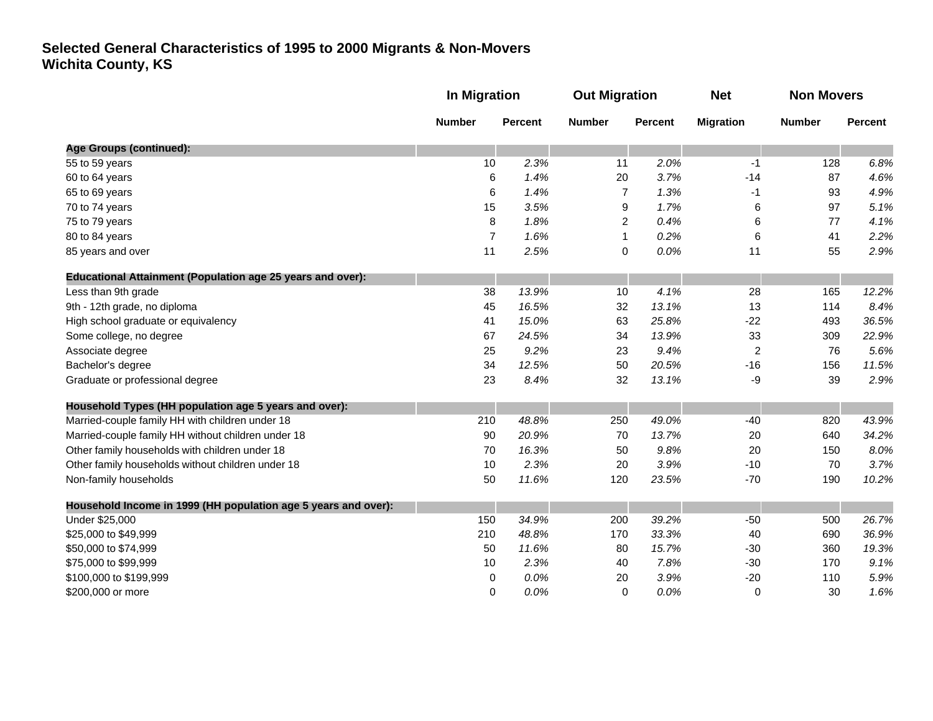|                                                                | <b>In Migration</b> |                | <b>Out Migration</b> |                | <b>Net</b>       | <b>Non Movers</b> |         |
|----------------------------------------------------------------|---------------------|----------------|----------------------|----------------|------------------|-------------------|---------|
|                                                                | <b>Number</b>       | <b>Percent</b> | <b>Number</b>        | <b>Percent</b> | <b>Migration</b> | <b>Number</b>     | Percent |
| Age Groups (continued):                                        |                     |                |                      |                |                  |                   |         |
| 55 to 59 years                                                 | 10                  | 2.3%           | 11                   | 2.0%           | -1               | 128               | 6.8%    |
| 60 to 64 years                                                 | 6                   | 1.4%           | 20                   | 3.7%           | $-14$            | 87                | 4.6%    |
| 65 to 69 years                                                 | 6                   | 1.4%           | $\overline{7}$       | 1.3%           | -1               | 93                | 4.9%    |
| 70 to 74 years                                                 | 15                  | 3.5%           | 9                    | 1.7%           | 6                | 97                | 5.1%    |
| 75 to 79 years                                                 | 8                   | 1.8%           | 2                    | 0.4%           | 6                | 77                | 4.1%    |
| 80 to 84 years                                                 | $\overline{7}$      | 1.6%           | $\mathbf{1}$         | 0.2%           | 6                | 41                | 2.2%    |
| 85 years and over                                              | 11                  | 2.5%           | 0                    | 0.0%           | 11               | 55                | 2.9%    |
| Educational Attainment (Population age 25 years and over):     |                     |                |                      |                |                  |                   |         |
| Less than 9th grade                                            | 38                  | 13.9%          | 10                   | 4.1%           | 28               | 165               | 12.2%   |
| 9th - 12th grade, no diploma                                   | 45                  | 16.5%          | 32                   | 13.1%          | 13               | 114               | 8.4%    |
| High school graduate or equivalency                            | 41                  | 15.0%          | 63                   | 25.8%          | $-22$            | 493               | 36.5%   |
| Some college, no degree                                        | 67                  | 24.5%          | 34                   | 13.9%          | 33               | 309               | 22.9%   |
| Associate degree                                               | 25                  | 9.2%           | 23                   | 9.4%           | $\overline{c}$   | 76                | 5.6%    |
| Bachelor's degree                                              | 34                  | 12.5%          | 50                   | 20.5%          | $-16$            | 156               | 11.5%   |
| Graduate or professional degree                                | 23                  | 8.4%           | 32                   | 13.1%          | -9               | 39                | 2.9%    |
| Household Types (HH population age 5 years and over):          |                     |                |                      |                |                  |                   |         |
| Married-couple family HH with children under 18                | 210                 | 48.8%          | 250                  | 49.0%          | $-40$            | 820               | 43.9%   |
| Married-couple family HH without children under 18             | 90                  | 20.9%          | 70                   | 13.7%          | 20               | 640               | 34.2%   |
| Other family households with children under 18                 | 70                  | 16.3%          | 50                   | 9.8%           | 20               | 150               | 8.0%    |
| Other family households without children under 18              | 10                  | 2.3%           | 20                   | 3.9%           | $-10$            | 70                | 3.7%    |
| Non-family households                                          | 50                  | 11.6%          | 120                  | 23.5%          | $-70$            | 190               | 10.2%   |
| Household Income in 1999 (HH population age 5 years and over): |                     |                |                      |                |                  |                   |         |
| Under \$25,000                                                 | 150                 | 34.9%          | 200                  | 39.2%          | $-50$            | 500               | 26.7%   |
| \$25,000 to \$49,999                                           | 210                 | 48.8%          | 170                  | 33.3%          | 40               | 690               | 36.9%   |
| \$50,000 to \$74,999                                           | 50                  | 11.6%          | 80                   | 15.7%          | $-30$            | 360               | 19.3%   |
| \$75,000 to \$99,999                                           | 10                  | 2.3%           | 40                   | 7.8%           | $-30$            | 170               | 9.1%    |
| \$100,000 to \$199,999                                         | 0                   | 0.0%           | 20                   | 3.9%           | $-20$            | 110               | 5.9%    |
| \$200,000 or more                                              | 0                   | 0.0%           | 0                    | 0.0%           | $\mathbf 0$      | 30                | 1.6%    |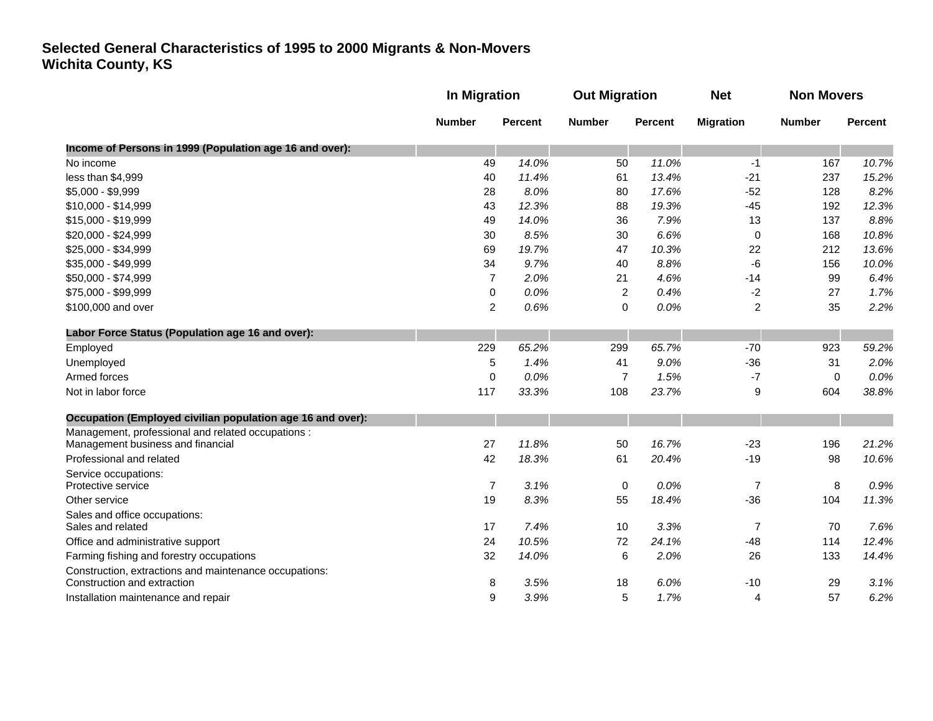|                                                            |                | In Migration   |                | <b>Out Migration</b> |                  | <b>Non Movers</b> |                |
|------------------------------------------------------------|----------------|----------------|----------------|----------------------|------------------|-------------------|----------------|
|                                                            | <b>Number</b>  | <b>Percent</b> | <b>Number</b>  | <b>Percent</b>       | <b>Migration</b> | <b>Number</b>     | <b>Percent</b> |
| Income of Persons in 1999 (Population age 16 and over):    |                |                |                |                      |                  |                   |                |
| No income                                                  | 49             | 14.0%          | 50             | 11.0%                | $-1$             | 167               | 10.7%          |
| less than \$4,999                                          | 40             | 11.4%          | 61             | 13.4%                | $-21$            | 237               | 15.2%          |
| \$5,000 - \$9,999                                          | 28             | 8.0%           | 80             | 17.6%                | $-52$            | 128               | 8.2%           |
| \$10,000 - \$14,999                                        | 43             | 12.3%          | 88             | 19.3%                | $-45$            | 192               | 12.3%          |
| \$15,000 - \$19,999                                        | 49             | 14.0%          | 36             | 7.9%                 | 13               | 137               | 8.8%           |
| \$20,000 - \$24,999                                        | 30             | 8.5%           | 30             | 6.6%                 | 0                | 168               | 10.8%          |
| \$25,000 - \$34,999                                        | 69             | 19.7%          | 47             | 10.3%                | 22               | 212               | 13.6%          |
| \$35,000 - \$49,999                                        | 34             | 9.7%           | 40             | 8.8%                 | $-6$             | 156               | 10.0%          |
| \$50,000 - \$74,999                                        | $\overline{7}$ | 2.0%           | 21             | 4.6%                 | $-14$            | 99                | 6.4%           |
| \$75,000 - \$99,999                                        | 0              | 0.0%           | $\overline{2}$ | 0.4%                 | $-2$             | 27                | 1.7%           |
| \$100,000 and over                                         | 2              | 0.6%           | 0              | 0.0%                 | $\overline{2}$   | 35                | 2.2%           |
| Labor Force Status (Population age 16 and over):           |                |                |                |                      |                  |                   |                |
| Employed                                                   | 229            | 65.2%          | 299            | 65.7%                | $-70$            | 923               | 59.2%          |
| Unemployed                                                 | 5              | 1.4%           | 41             | 9.0%                 | $-36$            | 31                | 2.0%           |
| Armed forces                                               | 0              | 0.0%           | $\overline{7}$ | 1.5%                 | $-7$             | $\mathbf 0$       | 0.0%           |
| Not in labor force                                         | 117            | 33.3%          | 108            | 23.7%                | 9                | 604               | 38.8%          |
| Occupation (Employed civilian population age 16 and over): |                |                |                |                      |                  |                   |                |
| Management, professional and related occupations :         |                |                |                |                      |                  |                   |                |
| Management business and financial                          | 27             | 11.8%          | 50             | 16.7%                | $-23$            | 196               | 21.2%          |
| Professional and related                                   | 42             | 18.3%          | 61             | 20.4%                | $-19$            | 98                | 10.6%          |
| Service occupations:<br>Protective service                 | $\overline{7}$ | 3.1%           |                | 0.0%                 | $\overline{7}$   |                   | 0.9%           |
|                                                            |                |                | $\mathbf 0$    |                      |                  | 8                 |                |
| Other service                                              | 19             | 8.3%           | 55             | 18.4%                | $-36$            | 104               | 11.3%          |
| Sales and office occupations:<br>Sales and related         | 17             | 7.4%           | 10             | 3.3%                 | $\overline{7}$   | 70                | 7.6%           |
| Office and administrative support                          | 24             | 10.5%          | 72             | 24.1%                | $-48$            | 114               | 12.4%          |
| Farming fishing and forestry occupations                   | 32             | 14.0%          | 6              | 2.0%                 | 26               | 133               | 14.4%          |
| Construction, extractions and maintenance occupations:     |                |                |                |                      |                  |                   |                |
| Construction and extraction                                | 8              | 3.5%           | 18             | 6.0%                 | $-10$            | 29                | 3.1%           |
| Installation maintenance and repair                        | 9              | 3.9%           | 5              | 1.7%                 | 4                | 57                | 6.2%           |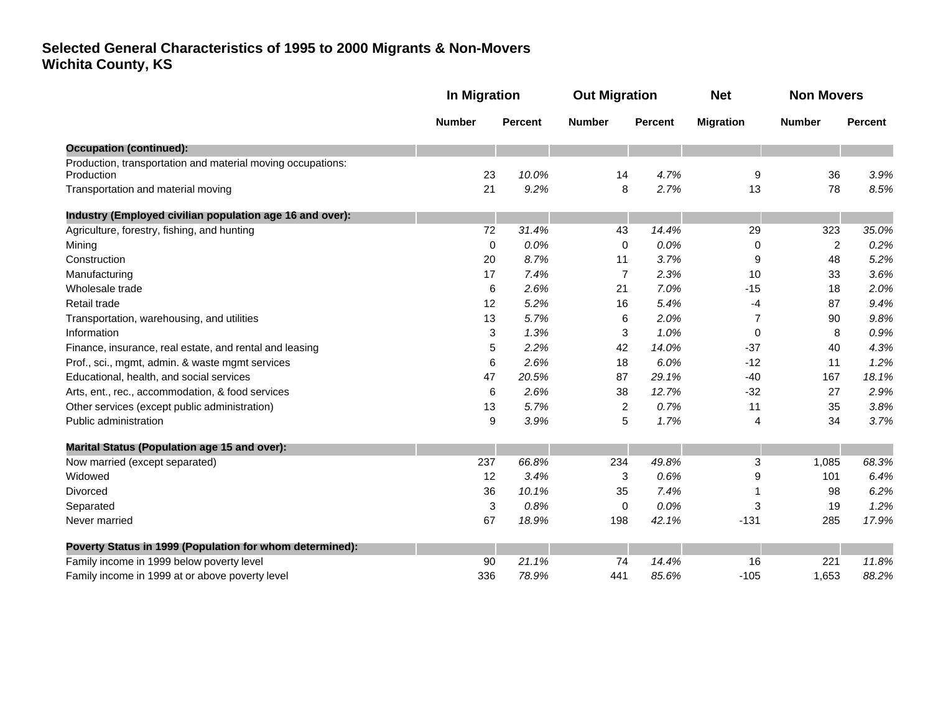|                                                                           | <b>In Migration</b> |                                                   | <b>Out Migration</b> |               | <b>Net</b>     | <b>Non Movers</b> |       |
|---------------------------------------------------------------------------|---------------------|---------------------------------------------------|----------------------|---------------|----------------|-------------------|-------|
|                                                                           | <b>Number</b>       | <b>Percent</b><br><b>Number</b><br><b>Percent</b> | <b>Migration</b>     | <b>Number</b> | <b>Percent</b> |                   |       |
| <b>Occupation (continued):</b>                                            |                     |                                                   |                      |               |                |                   |       |
| Production, transportation and material moving occupations:<br>Production | 23                  | 10.0%                                             | 14                   | 4.7%          | 9              | 36                | 3.9%  |
| Transportation and material moving                                        | 21                  | 9.2%                                              | 8                    | 2.7%          | 13             | 78                | 8.5%  |
| Industry (Employed civilian population age 16 and over):                  |                     |                                                   |                      |               |                |                   |       |
| Agriculture, forestry, fishing, and hunting                               | 72                  | 31.4%                                             | 43                   | 14.4%         | 29             | 323               | 35.0% |
| Mining                                                                    | $\mathbf 0$         | 0.0%                                              | 0                    | 0.0%          | 0              | $\overline{c}$    | 0.2%  |
| Construction                                                              | 20                  | 8.7%                                              | 11                   | 3.7%          | 9              | 48                | 5.2%  |
| Manufacturing                                                             | 17                  | 7.4%                                              | $\overline{7}$       | 2.3%          | 10             | 33                | 3.6%  |
| Wholesale trade                                                           | 6                   | 2.6%                                              | 21                   | 7.0%          | $-15$          | 18                | 2.0%  |
| Retail trade                                                              | 12                  | 5.2%                                              | 16                   | 5.4%          | -4             | 87                | 9.4%  |
| Transportation, warehousing, and utilities                                | 13                  | 5.7%                                              | 6                    | 2.0%          | $\overline{7}$ | 90                | 9.8%  |
| Information                                                               | 3                   | 1.3%                                              | 3                    | 1.0%          | 0              | 8                 | 0.9%  |
| Finance, insurance, real estate, and rental and leasing                   | 5                   | 2.2%                                              | 42                   | 14.0%         | $-37$          | 40                | 4.3%  |
| Prof., sci., mgmt, admin. & waste mgmt services                           | 6                   | 2.6%                                              | 18                   | 6.0%          | $-12$          | 11                | 1.2%  |
| Educational, health, and social services                                  | 47                  | 20.5%                                             | 87                   | 29.1%         | $-40$          | 167               | 18.1% |
| Arts, ent., rec., accommodation, & food services                          | 6                   | 2.6%                                              | 38                   | 12.7%         | $-32$          | 27                | 2.9%  |
| Other services (except public administration)                             | 13                  | 5.7%                                              | $\overline{2}$       | 0.7%          | 11             | 35                | 3.8%  |
| Public administration                                                     | 9                   | 3.9%                                              | 5                    | 1.7%          | 4              | 34                | 3.7%  |
| <b>Marital Status (Population age 15 and over):</b>                       |                     |                                                   |                      |               |                |                   |       |
| Now married (except separated)                                            | 237                 | 66.8%                                             | 234                  | 49.8%         | 3              | 1,085             | 68.3% |
| Widowed                                                                   | 12                  | 3.4%                                              | 3                    | 0.6%          | 9              | 101               | 6.4%  |
| <b>Divorced</b>                                                           | 36                  | 10.1%                                             | 35                   | 7.4%          |                | 98                | 6.2%  |
| Separated                                                                 | 3                   | 0.8%                                              | 0                    | 0.0%          | 3              | 19                | 1.2%  |
| Never married                                                             | 67                  | 18.9%                                             | 198                  | 42.1%         | $-131$         | 285               | 17.9% |
| Poverty Status in 1999 (Population for whom determined):                  |                     |                                                   |                      |               |                |                   |       |
| Family income in 1999 below poverty level                                 | 90                  | 21.1%                                             | 74                   | 14.4%         | 16             | 221               | 11.8% |
| Family income in 1999 at or above poverty level                           | 336                 | 78.9%                                             | 441                  | 85.6%         | $-105$         | 1,653             | 88.2% |